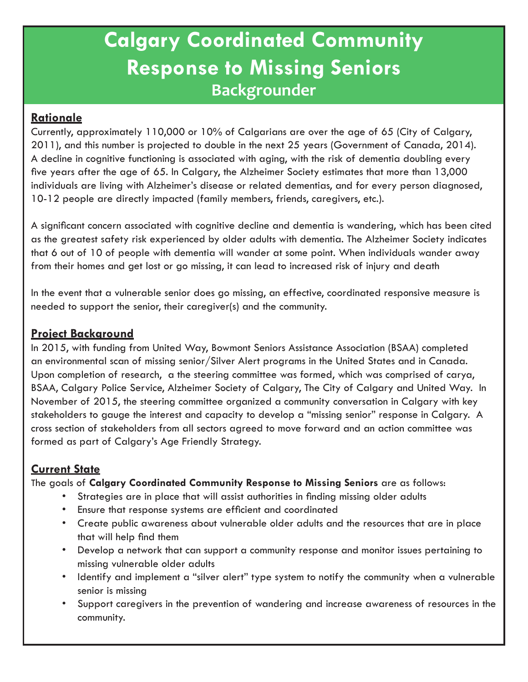# **Calgary Coordinated Community Response to Missing Seniors Backgrounder**

## **Rationale**

Currently, approximately 110,000 or 10% of Calgarians are over the age of 65 (City of Calgary, 2011), and this number is projected to double in the next 25 years (Government of Canada, 2014). A decline in cognitive functioning is associated with aging, with the risk of dementia doubling every five years after the age of 65. In Calgary, the Alzheimer Society estimates that more than 13,000 individuals are living with Alzheimer's disease or related dementias, and for every person diagnosed, 10-12 people are directly impacted (family members, friends, caregivers, etc.).

A significant concern associated with cognitive decline and dementia is wandering, which has been cited as the greatest safety risk experienced by older adults with dementia. The Alzheimer Society indicates that 6 out of 10 of people with dementia will wander at some point. When individuals wander away from their homes and get lost or go missing, it can lead to increased risk of injury and death

In the event that a vulnerable senior does go missing, an effective, coordinated responsive measure is needed to support the senior, their caregiver(s) and the community.

### **Project Background**

In 2015, with funding from United Way, Bowmont Seniors Assistance Association (BSAA) completed an environmental scan of missing senior/Silver Alert programs in the United States and in Canada. Upon completion of research, a the steering committee was formed, which was comprised of carya, BSAA, Calgary Police Service, Alzheimer Society of Calgary, The City of Calgary and United Way. In November of 2015, the steering committee organized a community conversation in Calgary with key stakeholders to gauge the interest and capacity to develop a "missing senior" response in Calgary. A cross section of stakeholders from all sectors agreed to move forward and an action committee was formed as part of Calgary's Age Friendly Strategy.

### **Current State**

The goals of **Calgary Coordinated Community Response to Missing Seniors** are as follows:

- Strategies are in place that will assist authorities in finding missing older adults
- Ensure that response systems are efficient and coordinated
- Create public awareness about vulnerable older adults and the resources that are in place that will help find them
- Develop a network that can support a community response and monitor issues pertaining to missing vulnerable older adults
- Identify and implement a "silver alert" type system to notify the community when a vulnerable senior is missing
- Support caregivers in the prevention of wandering and increase awareness of resources in the community.